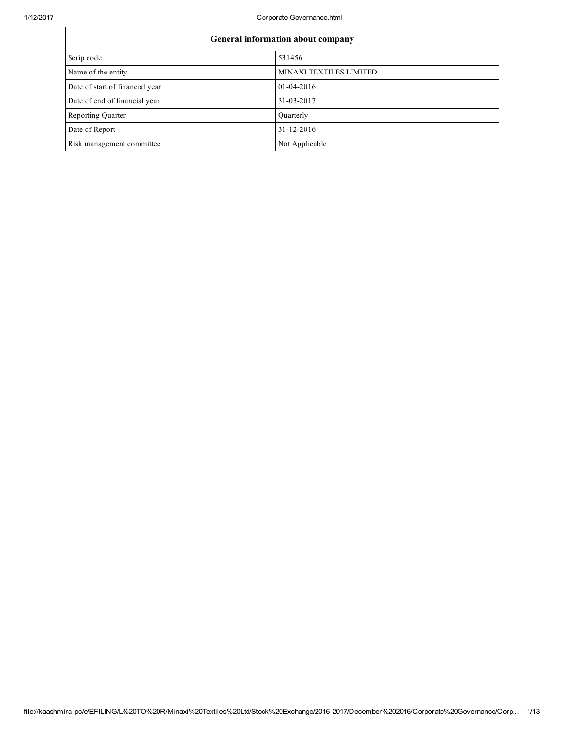1/12/2017 Corporate Governance.html

| <b>General information about company</b> |                         |  |  |  |
|------------------------------------------|-------------------------|--|--|--|
| Scrip code                               | 531456                  |  |  |  |
| Name of the entity                       | MINAXI TEXTILES LIMITED |  |  |  |
| Date of start of financial year          | 01-04-2016              |  |  |  |
| Date of end of financial year            | 31-03-2017              |  |  |  |
| <b>Reporting Quarter</b>                 | Quarterly               |  |  |  |
| Date of Report                           | 31-12-2016              |  |  |  |
| Risk management committee                | Not Applicable          |  |  |  |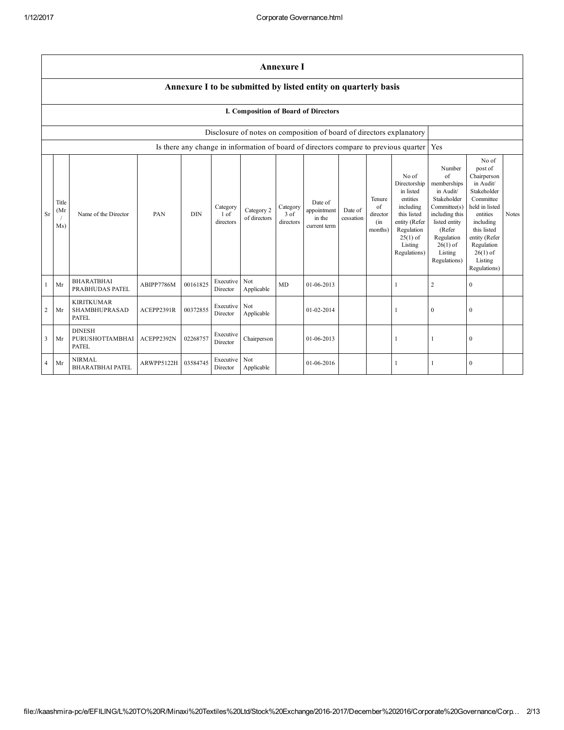|                | <b>Annexure I</b>                                                                                                                                                                                                                                                                                                                                                                                                                                |                                                           |            |          |                                                                                                                                                                                     |                                                                                                                                                                                                            |              |            |  |  |                                                                                      |              |                  |  |
|----------------|--------------------------------------------------------------------------------------------------------------------------------------------------------------------------------------------------------------------------------------------------------------------------------------------------------------------------------------------------------------------------------------------------------------------------------------------------|-----------------------------------------------------------|------------|----------|-------------------------------------------------------------------------------------------------------------------------------------------------------------------------------------|------------------------------------------------------------------------------------------------------------------------------------------------------------------------------------------------------------|--------------|------------|--|--|--------------------------------------------------------------------------------------|--------------|------------------|--|
|                | Annexure I to be submitted by listed entity on quarterly basis                                                                                                                                                                                                                                                                                                                                                                                   |                                                           |            |          |                                                                                                                                                                                     |                                                                                                                                                                                                            |              |            |  |  |                                                                                      |              |                  |  |
|                | I. Composition of Board of Directors                                                                                                                                                                                                                                                                                                                                                                                                             |                                                           |            |          |                                                                                                                                                                                     |                                                                                                                                                                                                            |              |            |  |  |                                                                                      |              |                  |  |
|                | Disclosure of notes on composition of board of directors explanatory                                                                                                                                                                                                                                                                                                                                                                             |                                                           |            |          |                                                                                                                                                                                     |                                                                                                                                                                                                            |              |            |  |  |                                                                                      |              |                  |  |
|                |                                                                                                                                                                                                                                                                                                                                                                                                                                                  |                                                           |            |          |                                                                                                                                                                                     |                                                                                                                                                                                                            |              |            |  |  | Is there any change in information of board of directors compare to previous quarter | Yes          |                  |  |
| <b>Sr</b>      | No of<br>Directorship<br>in listed<br>entities<br>Tenure<br>Title<br>Date of<br>of<br>including<br>Category<br>Category<br>Category 2<br>appointment<br>Date of<br>(Mr<br>Name of the Director<br>PAN<br><b>DIN</b><br>1 of<br>3 of<br>this listed<br>director<br>of directors<br>in the<br>cessation<br>directors<br>entity (Refer<br>directors<br>(in<br>Ms)<br>current term<br>months)<br>Regulation<br>$25(1)$ of<br>Listing<br>Regulations) |                                                           |            |          | Number<br>$\alpha$ f<br>memberships<br>in Audit/<br>Stakeholder<br>Committee(s)<br>including this<br>listed entity<br>(Refer<br>Regulation<br>$26(1)$ of<br>Listing<br>Regulations) | No of<br>post of<br>Chairperson<br>in Audit/<br>Stakeholder<br>Committee<br>held in listed<br>entities<br>including<br>this listed<br>entity (Refer<br>Regulation<br>$26(1)$ of<br>Listing<br>Regulations) | <b>Notes</b> |            |  |  |                                                                                      |              |                  |  |
|                | Mr                                                                                                                                                                                                                                                                                                                                                                                                                                               | BHARATBHAI<br>PRABHUDAS PATEL                             | ABIPP7786M | 00161825 | Executive<br>Director                                                                                                                                                               | Not<br>Applicable                                                                                                                                                                                          | MD           | 01-06-2013 |  |  | 1                                                                                    | 2            | $\boldsymbol{0}$ |  |
| 2              | Mr                                                                                                                                                                                                                                                                                                                                                                                                                                               | <b>KIRITKUMAR</b><br><b>SHAMBHUPRASAD</b><br><b>PATEL</b> | ACEPP2391R | 00372855 | Executive<br>Director                                                                                                                                                               | Not<br>Applicable                                                                                                                                                                                          |              | 01-02-2014 |  |  | 1                                                                                    | $\mathbf{0}$ | $\boldsymbol{0}$ |  |
| 3              | Mr                                                                                                                                                                                                                                                                                                                                                                                                                                               | <b>DINESH</b><br>PURUSHOTTAMBHAI<br><b>PATEL</b>          | ACEPP2392N | 02268757 | Executive<br>Director                                                                                                                                                               | Chairperson                                                                                                                                                                                                |              | 01-06-2013 |  |  |                                                                                      | $\mathbf{1}$ | $\mathbf{0}$     |  |
| $\overline{4}$ | Mr                                                                                                                                                                                                                                                                                                                                                                                                                                               | <b>NIRMAL</b><br><b>BHARATBHAI PATEL</b>                  | ARWPP5122H | 03584745 | Executive<br>Director                                                                                                                                                               | Not<br>Applicable                                                                                                                                                                                          |              | 01-06-2016 |  |  | 1                                                                                    |              | $\mathbf{0}$     |  |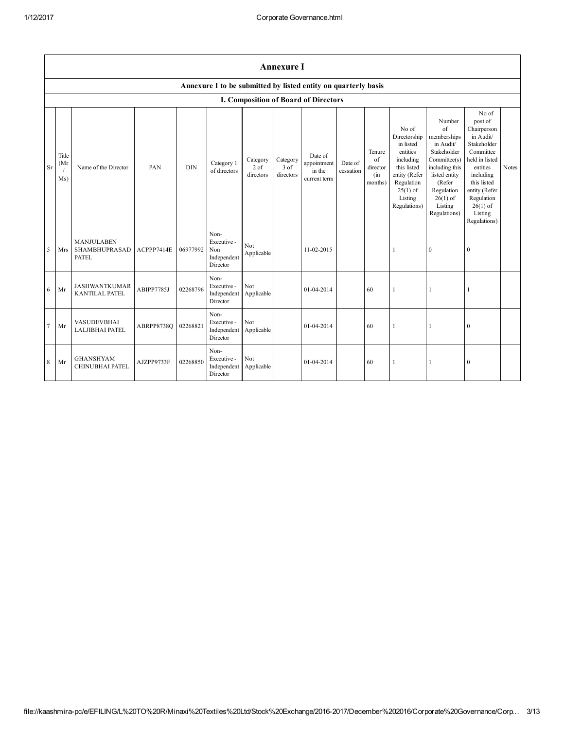|                | <b>Annexure I</b>                                              |                                                           |            |            |                                                       |                                           |                               |                                                  |                      |                                            |                                                                                                                                                    |                                                                                                                                                                             |                                                                                                                                                                                                            |              |
|----------------|----------------------------------------------------------------|-----------------------------------------------------------|------------|------------|-------------------------------------------------------|-------------------------------------------|-------------------------------|--------------------------------------------------|----------------------|--------------------------------------------|----------------------------------------------------------------------------------------------------------------------------------------------------|-----------------------------------------------------------------------------------------------------------------------------------------------------------------------------|------------------------------------------------------------------------------------------------------------------------------------------------------------------------------------------------------------|--------------|
|                | Annexure I to be submitted by listed entity on quarterly basis |                                                           |            |            |                                                       |                                           |                               |                                                  |                      |                                            |                                                                                                                                                    |                                                                                                                                                                             |                                                                                                                                                                                                            |              |
|                |                                                                |                                                           |            |            |                                                       |                                           |                               | I. Composition of Board of Directors             |                      |                                            |                                                                                                                                                    |                                                                                                                                                                             |                                                                                                                                                                                                            |              |
| Sr             | Title<br>(Mr<br>Ms)                                            | Name of the Director                                      | PAN        | <b>DIN</b> | Category 1<br>of directors                            | Category<br>2 <sub>o</sub> f<br>directors | Category<br>3 of<br>directors | Date of<br>appointment<br>in the<br>current term | Date of<br>cessation | Tenure<br>of<br>director<br>(in<br>months) | No of<br>Directorship<br>in listed<br>entities<br>including<br>this listed<br>entity (Refer<br>Regulation<br>$25(1)$ of<br>Listing<br>Regulations) | Number<br>of<br>memberships<br>in Audit/<br>Stakeholder<br>Committee(s)<br>including this<br>listed entity<br>(Refer<br>Regulation<br>$26(1)$ of<br>Listing<br>Regulations) | No of<br>post of<br>Chairperson<br>in Audit/<br>Stakeholder<br>Committee<br>held in listed<br>entities<br>including<br>this listed<br>entity (Refer<br>Regulation<br>$26(1)$ of<br>Listing<br>Regulations) | <b>Notes</b> |
| 5              | Mrs                                                            | <b>MANJULABEN</b><br><b>SHAMBHUPRASAD</b><br><b>PATEL</b> | ACPPP7414E | 06977992   | Non-<br>Executive -<br>Non<br>Independent<br>Director | Not<br>Applicable                         |                               | 11-02-2015                                       |                      |                                            |                                                                                                                                                    | $\mathbf{0}$                                                                                                                                                                | $\mathbf{0}$                                                                                                                                                                                               |              |
| 6              | Mr                                                             | <b>JASHWANTKUMAR</b><br><b>KANTILAL PATEL</b>             | ABIPP7785J | 02268796   | Non-<br>Executive -<br>Independent<br>Director        | Not<br>Applicable                         |                               | 01-04-2014                                       |                      | 60                                         |                                                                                                                                                    |                                                                                                                                                                             | -1                                                                                                                                                                                                         |              |
| $\overline{7}$ | Mr                                                             | <b>VASUDEVBHAI</b><br>LALJIBHAI PATEL                     | ABRPP8738O | 02268821   | Non-<br>Executive -<br>Independent<br>Director        | Not<br>Applicable                         |                               | 01-04-2014                                       |                      | 60                                         |                                                                                                                                                    | 1                                                                                                                                                                           | $\mathbf{0}$                                                                                                                                                                                               |              |
| 8              | Mr                                                             | <b>GHANSHYAM</b><br>CHINUBHAI PATEL                       | AJZPP9733F | 02268850   | Non-<br>Executive -<br>Independent<br>Director        | Not<br>Applicable                         |                               | 01-04-2014                                       |                      | 60                                         |                                                                                                                                                    |                                                                                                                                                                             | $\mathbf{0}$                                                                                                                                                                                               |              |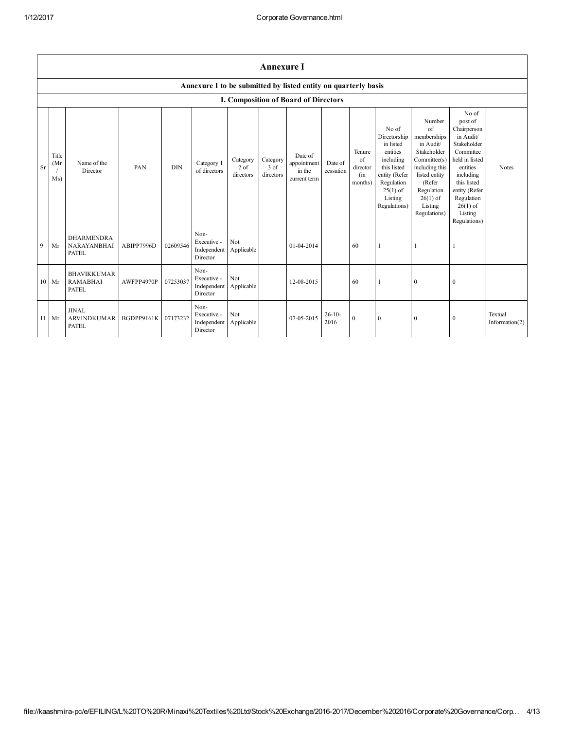|           | <b>Annexure I</b>                                              |                                                         |                   |            |                                                |                                           |                               |                                                  |                      |                                            |                                                                                                                                                    |                                                                                                                                                                              |                                                                                                                                                                                                            |                              |
|-----------|----------------------------------------------------------------|---------------------------------------------------------|-------------------|------------|------------------------------------------------|-------------------------------------------|-------------------------------|--------------------------------------------------|----------------------|--------------------------------------------|----------------------------------------------------------------------------------------------------------------------------------------------------|------------------------------------------------------------------------------------------------------------------------------------------------------------------------------|------------------------------------------------------------------------------------------------------------------------------------------------------------------------------------------------------------|------------------------------|
|           | Annexure I to be submitted by listed entity on quarterly basis |                                                         |                   |            |                                                |                                           |                               |                                                  |                      |                                            |                                                                                                                                                    |                                                                                                                                                                              |                                                                                                                                                                                                            |                              |
|           |                                                                |                                                         |                   |            |                                                |                                           |                               | I. Composition of Board of Directors             |                      |                                            |                                                                                                                                                    |                                                                                                                                                                              |                                                                                                                                                                                                            |                              |
| <b>Sr</b> | Title<br>(Mr)<br>Ms)                                           | Name of the<br>Director                                 | PAN               | <b>DIN</b> | Category 1<br>of directors                     | Category<br>2 <sub>o</sub> f<br>directors | Category<br>3 of<br>directors | Date of<br>appointment<br>in the<br>current term | Date of<br>cessation | Tenure<br>of<br>director<br>(in<br>months) | No of<br>Directorship<br>in listed<br>entities<br>including<br>this listed<br>entity (Refer<br>Regulation<br>$25(1)$ of<br>Listing<br>Regulations) | Number<br>of<br>memberships<br>in Audit/<br>Stakeholder<br>Committee(s)<br>including this<br>listed entity<br>(Refer)<br>Regulation<br>$26(1)$ of<br>Listing<br>Regulations) | No of<br>post of<br>Chairperson<br>in Audit/<br>Stakeholder<br>Committee<br>held in listed<br>entities<br>including<br>this listed<br>entity (Refer<br>Regulation<br>$26(1)$ of<br>Listing<br>Regulations) | <b>Notes</b>                 |
| 9         | Mr                                                             | <b>DHARMENDRA</b><br><b>NARAYANBHAI</b><br><b>PATEL</b> | ABIPP7996D        | 02609546   | Non-<br>Executive -<br>Independent<br>Director | Not<br>Applicable                         |                               | 01-04-2014                                       |                      | 60                                         |                                                                                                                                                    |                                                                                                                                                                              |                                                                                                                                                                                                            |                              |
|           | $10$ Mr                                                        | <b>BHAVIKKUMAR</b><br><b>RAMABHAI</b><br><b>PATEL</b>   | AWFPP4970P        | 07253037   | Non-<br>Executive -<br>Independent<br>Director | Not<br>Applicable                         |                               | 12-08-2015                                       |                      | 60                                         | 1                                                                                                                                                  | $\mathbf{0}$                                                                                                                                                                 | $\mathbf{0}$                                                                                                                                                                                               |                              |
|           | $11$ Mr                                                        | <b>JINAL</b><br><b>ARVINDKUMAR</b><br><b>PATEL</b>      | <b>BGDPP9161K</b> | 07173232   | Non-<br>Executive -<br>Independent<br>Director | Not<br>Applicable                         |                               | 07-05-2015                                       | $26-10-$<br>2016     | $\mathbf{0}$                               | $\mathbf{0}$                                                                                                                                       | $\mathbf{0}$                                                                                                                                                                 | $\mathbf{0}$                                                                                                                                                                                               | Textual<br>Information $(2)$ |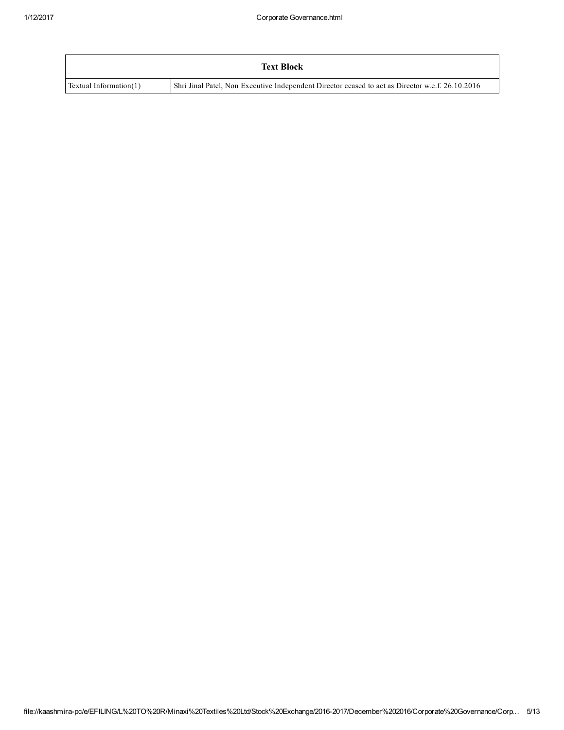|                           | <b>Text Block</b>                                                                                |
|---------------------------|--------------------------------------------------------------------------------------------------|
| Textual Information $(1)$ | Shri Jinal Patel, Non Executive Independent Director ceased to act as Director w.e.f. 26.10.2016 |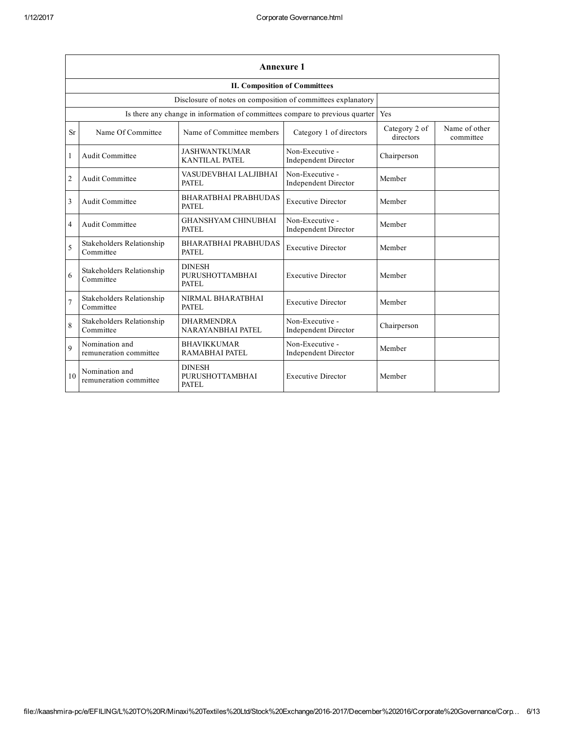|                | <b>Annexure 1</b>                                            |                                                                              |                                                |                            |                            |  |  |  |
|----------------|--------------------------------------------------------------|------------------------------------------------------------------------------|------------------------------------------------|----------------------------|----------------------------|--|--|--|
|                | <b>II. Composition of Committees</b>                         |                                                                              |                                                |                            |                            |  |  |  |
|                | Disclosure of notes on composition of committees explanatory |                                                                              |                                                |                            |                            |  |  |  |
|                |                                                              | Is there any change in information of committees compare to previous quarter |                                                | Yes                        |                            |  |  |  |
| <b>Sr</b>      | Name Of Committee                                            | Name of Committee members                                                    | Category 1 of directors                        | Category 2 of<br>directors | Name of other<br>committee |  |  |  |
| 1              | <b>Audit Committee</b>                                       | <b>JASHWANTKUMAR</b><br>KANTILAL PATEL                                       | Non-Executive -<br><b>Independent Director</b> | Chairperson                |                            |  |  |  |
| $\overline{c}$ | <b>Audit Committee</b>                                       | VASUDEVBHAI LALJIBHAI<br><b>PATEL</b>                                        | Non-Executive -<br><b>Independent Director</b> | Member                     |                            |  |  |  |
| 3              | <b>Audit Committee</b>                                       | <b>BHARATBHAI PRABHUDAS</b><br>PATEL                                         | <b>Executive Director</b>                      | Member                     |                            |  |  |  |
| $\overline{4}$ | <b>Audit Committee</b>                                       | <b>GHANSHYAM CHINUBHAI</b><br><b>PATEL</b>                                   | Non-Executive -<br><b>Independent Director</b> | Member                     |                            |  |  |  |
| 5              | Stakeholders Relationship<br>Committee                       | <b>BHARATBHAI PRABHUDAS</b><br><b>PATEL</b>                                  | <b>Executive Director</b>                      | Member                     |                            |  |  |  |
| 6              | Stakeholders Relationship<br>Committee                       | <b>DINESH</b><br><b>PURUSHOTTAMBHAI</b><br>PATEL                             | <b>Executive Director</b>                      | Member                     |                            |  |  |  |
| $\overline{7}$ | Stakeholders Relationship<br>Committee                       | NIRMAL BHARATBHAI<br><b>PATEL</b>                                            | <b>Executive Director</b>                      | Member                     |                            |  |  |  |
| 8              | Stakeholders Relationship<br>Committee                       | <b>DHARMENDRA</b><br>NARAYANBHAI PATEL                                       | Non-Executive -<br><b>Independent Director</b> | Chairperson                |                            |  |  |  |
| $\mathsf{Q}$   | Nomination and<br>remuneration committee                     | <b>BHAVIKKUMAR</b><br><b>RAMABHAI PATEL</b>                                  | Non-Executive -<br><b>Independent Director</b> | Member                     |                            |  |  |  |
| 10             | Nomination and<br>remuneration committee                     | <b>DINESH</b><br><b>PURUSHOTTAMBHAI</b><br>PATEL                             | <b>Executive Director</b>                      | Member                     |                            |  |  |  |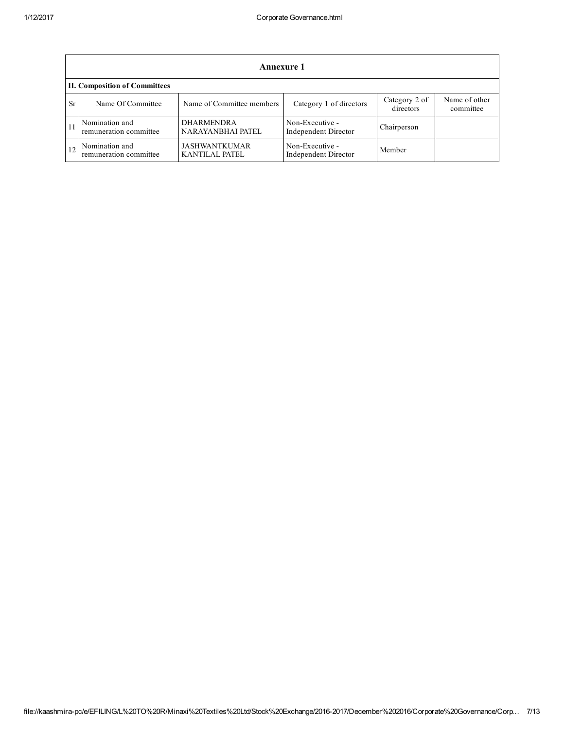|            | Annexure 1                               |                                               |                                                |                            |                            |  |  |  |  |
|------------|------------------------------------------|-----------------------------------------------|------------------------------------------------|----------------------------|----------------------------|--|--|--|--|
|            | <b>II. Composition of Committees</b>     |                                               |                                                |                            |                            |  |  |  |  |
| <b>Sr</b>  | Name Of Committee                        | Name of Committee members                     | Category 1 of directors                        | Category 2 of<br>directors | Name of other<br>committee |  |  |  |  |
| $\vert$ 11 | Nomination and<br>remuneration committee | <b>DHARMENDRA</b><br>NARAYANBHAI PATEL        | Non-Executive -<br>Independent Director        | Chairperson                |                            |  |  |  |  |
|            | Nomination and<br>remuneration committee | <b>JASHWANTKUMAR</b><br><b>KANTILAL PATEL</b> | Non-Executive -<br><b>Independent Director</b> | Member                     |                            |  |  |  |  |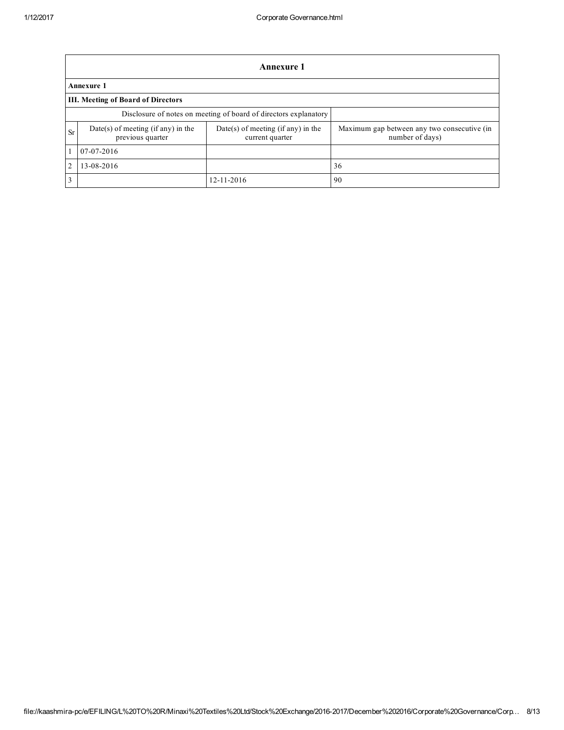|           | <b>Annexure 1</b>                                                |                                                       |                                                                |  |  |  |  |  |
|-----------|------------------------------------------------------------------|-------------------------------------------------------|----------------------------------------------------------------|--|--|--|--|--|
|           | Annexure 1                                                       |                                                       |                                                                |  |  |  |  |  |
|           | III. Meeting of Board of Directors                               |                                                       |                                                                |  |  |  |  |  |
|           | Disclosure of notes on meeting of board of directors explanatory |                                                       |                                                                |  |  |  |  |  |
| <b>Sr</b> | Date(s) of meeting (if any) in the<br>previous quarter           | Date(s) of meeting (if any) in the<br>current quarter | Maximum gap between any two consecutive (in<br>number of days) |  |  |  |  |  |
|           | 07-07-2016                                                       |                                                       |                                                                |  |  |  |  |  |
| 2         | 13-08-2016                                                       |                                                       | 36                                                             |  |  |  |  |  |
| 3         |                                                                  | 12-11-2016                                            | 90                                                             |  |  |  |  |  |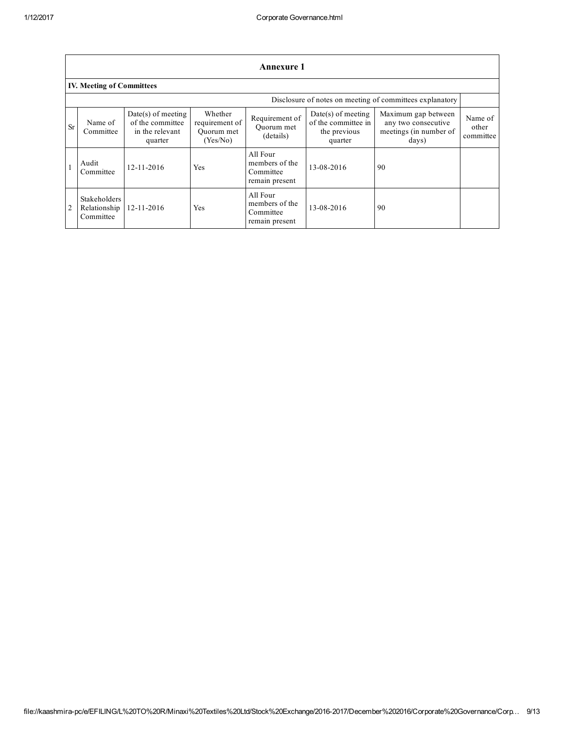|           | <b>Annexure 1</b>                                        |                                                                        |                                                     |                                                           |                                                                        |                                                                               |                               |  |  |  |
|-----------|----------------------------------------------------------|------------------------------------------------------------------------|-----------------------------------------------------|-----------------------------------------------------------|------------------------------------------------------------------------|-------------------------------------------------------------------------------|-------------------------------|--|--|--|
|           | <b>IV. Meeting of Committees</b>                         |                                                                        |                                                     |                                                           |                                                                        |                                                                               |                               |  |  |  |
|           | Disclosure of notes on meeting of committees explanatory |                                                                        |                                                     |                                                           |                                                                        |                                                                               |                               |  |  |  |
| <b>Sr</b> | Name of<br>Committee                                     | $Date(s)$ of meeting<br>of the committee<br>in the relevant<br>quarter | Whether<br>requirement of<br>Ouorum met<br>(Yes/No) | Requirement of<br>Quorum met<br>(details)                 | $Date(s)$ of meeting<br>of the committee in<br>the previous<br>quarter | Maximum gap between<br>any two consecutive<br>meetings (in number of<br>days) | Name of<br>other<br>committee |  |  |  |
|           | Audit<br>Committee                                       | 12-11-2016                                                             | Yes                                                 | All Four<br>members of the<br>Committee<br>remain present | 13-08-2016                                                             | 90                                                                            |                               |  |  |  |
|           | Stakeholders<br>Relationship<br>Committee                | 12-11-2016                                                             | Yes                                                 | All Four<br>members of the<br>Committee<br>remain present | 13-08-2016                                                             | 90                                                                            |                               |  |  |  |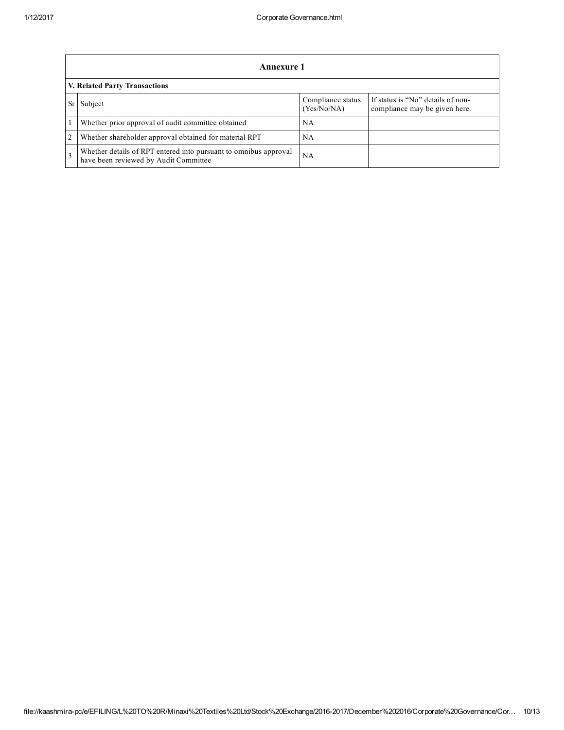|                | Annexure 1                                                                                                |                                  |                                                                    |  |  |  |  |
|----------------|-----------------------------------------------------------------------------------------------------------|----------------------------------|--------------------------------------------------------------------|--|--|--|--|
|                | V. Related Party Transactions                                                                             |                                  |                                                                    |  |  |  |  |
|                | Subject                                                                                                   | Compliance status<br>(Yes/No/NA) | If status is "No" details of non-<br>compliance may be given here. |  |  |  |  |
|                | Whether prior approval of audit committee obtained                                                        | NΑ                               |                                                                    |  |  |  |  |
| $\overline{2}$ | Whether shareholder approval obtained for material RPT                                                    | NA                               |                                                                    |  |  |  |  |
|                | Whether details of RPT entered into pursuant to omnibus approval<br>have been reviewed by Audit Committee | NA                               |                                                                    |  |  |  |  |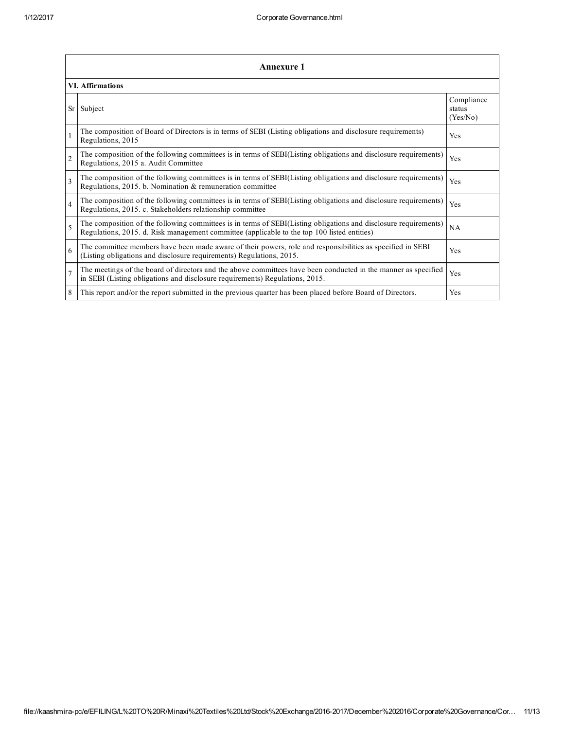|                         | <b>Annexure 1</b>                                                                                                                                                                                               |                                  |  |  |  |  |  |
|-------------------------|-----------------------------------------------------------------------------------------------------------------------------------------------------------------------------------------------------------------|----------------------------------|--|--|--|--|--|
|                         | <b>VI.</b> Affirmations                                                                                                                                                                                         |                                  |  |  |  |  |  |
|                         | Sr Subject                                                                                                                                                                                                      | Compliance<br>status<br>(Yes/No) |  |  |  |  |  |
|                         | The composition of Board of Directors is in terms of SEBI (Listing obligations and disclosure requirements)<br>Regulations, 2015                                                                                | Yes                              |  |  |  |  |  |
| $\overline{c}$          | The composition of the following committees is in terms of SEBI(Listing obligations and disclosure requirements)<br>Regulations, 2015 a. Audit Committee                                                        | Yes                              |  |  |  |  |  |
| $\overline{\mathbf{3}}$ | The composition of the following committees is in terms of SEBI(Listing obligations and disclosure requirements)<br>Regulations, 2015. b. Nomination $\&$ remuneration committee                                | Yes                              |  |  |  |  |  |
| $\overline{4}$          | The composition of the following committees is in terms of SEBI(Listing obligations and disclosure requirements)<br>Regulations, 2015. c. Stakeholders relationship committee                                   | Yes                              |  |  |  |  |  |
| $\overline{5}$          | The composition of the following committees is in terms of SEBI(Listing obligations and disclosure requirements)<br>Regulations, 2015. d. Risk management committee (applicable to the top 100 listed entities) | NA                               |  |  |  |  |  |
| 6                       | The committee members have been made aware of their powers, role and responsibilities as specified in SEBI<br>(Listing obligations and disclosure requirements) Regulations, 2015.                              | Yes                              |  |  |  |  |  |
|                         | The meetings of the board of directors and the above committees have been conducted in the manner as specified<br>in SEBI (Listing obligations and disclosure requirements) Regulations, 2015.                  | Yes                              |  |  |  |  |  |
| 8                       | This report and/or the report submitted in the previous quarter has been placed before Board of Directors.                                                                                                      | Yes                              |  |  |  |  |  |